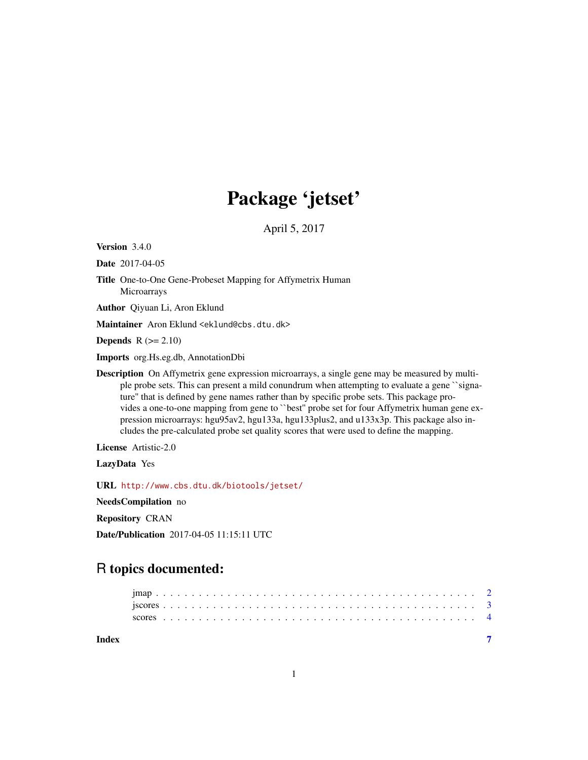## Package 'jetset'

April 5, 2017

<span id="page-0-0"></span>Version 3.4.0

Date 2017-04-05

- Title One-to-One Gene-Probeset Mapping for Affymetrix Human **Microarrays**
- Author Qiyuan Li, Aron Eklund

Maintainer Aron Eklund <eklund@cbs.dtu.dk>

**Depends**  $R$  ( $>= 2.10$ )

Imports org.Hs.eg.db, AnnotationDbi

Description On Affymetrix gene expression microarrays, a single gene may be measured by multiple probe sets. This can present a mild conundrum when attempting to evaluate a gene ``signature'' that is defined by gene names rather than by specific probe sets. This package provides a one-to-one mapping from gene to ``best'' probe set for four Affymetrix human gene expression microarrays: hgu95av2, hgu133a, hgu133plus2, and u133x3p. This package also includes the pre-calculated probe set quality scores that were used to define the mapping.

License Artistic-2.0

LazyData Yes

URL <http://www.cbs.dtu.dk/biotools/jetset/>

NeedsCompilation no

Repository CRAN

Date/Publication 2017-04-05 11:15:11 UTC

### R topics documented: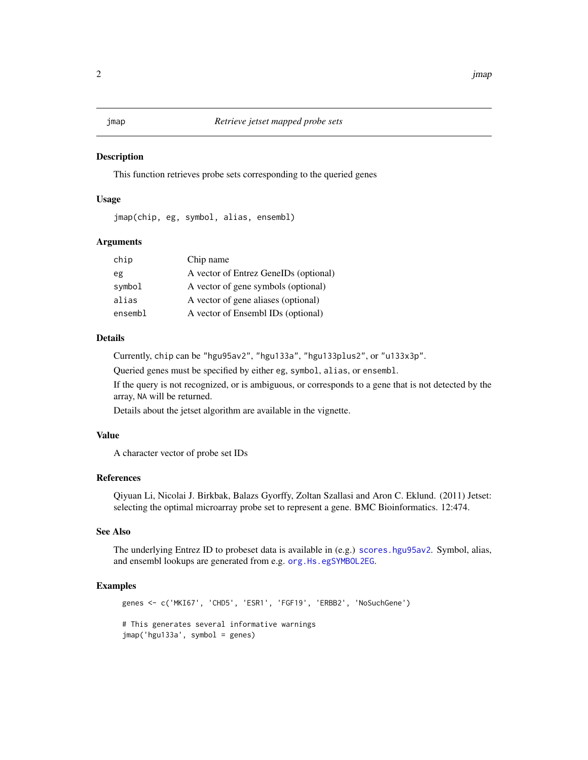#### <span id="page-1-0"></span>**Description**

This function retrieves probe sets corresponding to the queried genes

#### Usage

jmap(chip, eg, symbol, alias, ensembl)

#### Arguments

| chip    | Chip name                             |
|---------|---------------------------------------|
| eg      | A vector of Entrez GeneIDs (optional) |
| symbol  | A vector of gene symbols (optional)   |
| alias   | A vector of gene aliases (optional)   |
| ensembl | A vector of Ensembl IDs (optional)    |

#### Details

Currently, chip can be "hgu95av2", "hgu133a", "hgu133plus2", or "u133x3p".

Queried genes must be specified by either eg, symbol, alias, or ensembl.

If the query is not recognized, or is ambiguous, or corresponds to a gene that is not detected by the array, NA will be returned.

Details about the jetset algorithm are available in the vignette.

#### Value

A character vector of probe set IDs

#### References

Qiyuan Li, Nicolai J. Birkbak, Balazs Gyorffy, Zoltan Szallasi and Aron C. Eklund. (2011) Jetset: selecting the optimal microarray probe set to represent a gene. BMC Bioinformatics. 12:474.

#### See Also

The underlying Entrez ID to probeset data is available in (e.g.) [scores.hgu95av2](#page-3-1). Symbol, alias, and ensembl lookups are generated from e.g. [org.Hs.egSYMBOL2EG](#page-0-0).

#### Examples

```
genes <- c('MKI67', 'CHD5', 'ESR1', 'FGF19', 'ERBB2', 'NoSuchGene')
# This generates several informative warnings
jmap('hgu133a', symbol = genes)
```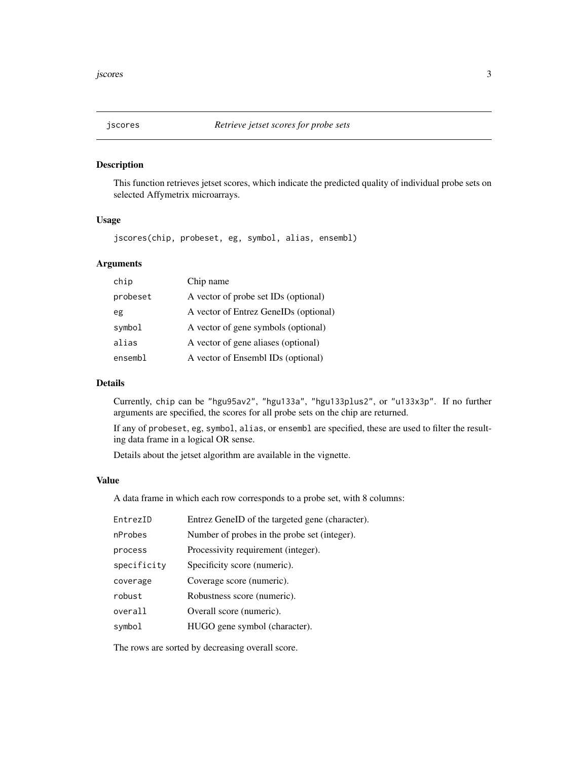<span id="page-2-1"></span><span id="page-2-0"></span>

#### Description

This function retrieves jetset scores, which indicate the predicted quality of individual probe sets on selected Affymetrix microarrays.

#### Usage

jscores(chip, probeset, eg, symbol, alias, ensembl)

#### Arguments

| chip     | Chip name                             |
|----------|---------------------------------------|
| probeset | A vector of probe set IDs (optional)  |
| eg       | A vector of Entrez GeneIDs (optional) |
| symbol   | A vector of gene symbols (optional)   |
| alias    | A vector of gene aliases (optional)   |
| ensembl  | A vector of Ensembl IDs (optional)    |

#### Details

Currently, chip can be "hgu95av2", "hgu133a", "hgu133plus2", or "u133x3p". If no further arguments are specified, the scores for all probe sets on the chip are returned.

If any of probeset, eg, symbol, alias, or ensembl are specified, these are used to filter the resulting data frame in a logical OR sense.

Details about the jetset algorithm are available in the vignette.

#### Value

A data frame in which each row corresponds to a probe set, with 8 columns:

| EntrezID    | Entrez GeneID of the targeted gene (character). |
|-------------|-------------------------------------------------|
| nProbes     | Number of probes in the probe set (integer).    |
| process     | Processivity requirement (integer).             |
| specificity | Specificity score (numeric).                    |
| coverage    | Coverage score (numeric).                       |
| robust      | Robustness score (numeric).                     |
| overall     | Overall score (numeric).                        |
| symbol      | HUGO gene symbol (character).                   |

The rows are sorted by decreasing overall score.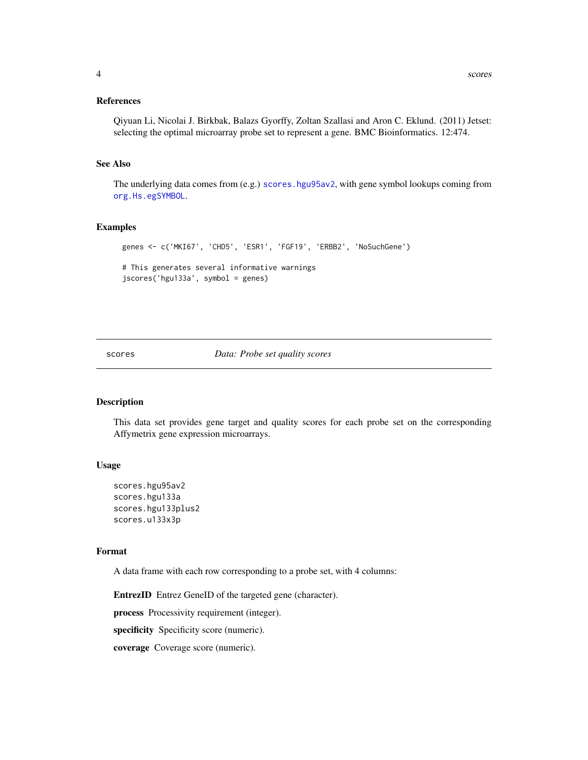#### <span id="page-3-0"></span>References

Qiyuan Li, Nicolai J. Birkbak, Balazs Gyorffy, Zoltan Szallasi and Aron C. Eklund. (2011) Jetset: selecting the optimal microarray probe set to represent a gene. BMC Bioinformatics. 12:474.

#### See Also

The underlying data comes from (e.g.) [scores.hgu95av2](#page-3-1), with gene symbol lookups coming from [org.Hs.egSYMBOL](#page-0-0).

#### Examples

```
genes <- c('MKI67', 'CHD5', 'ESR1', 'FGF19', 'ERBB2', 'NoSuchGene')
# This generates several informative warnings
jscores('hgu133a', symbol = genes)
```
#### scores *Data: Probe set quality scores*

#### <span id="page-3-1"></span>Description

This data set provides gene target and quality scores for each probe set on the corresponding Affymetrix gene expression microarrays.

#### Usage

```
scores.hgu95av2
scores.hgu133a
scores.hgu133plus2
scores.u133x3p
```
#### Format

A data frame with each row corresponding to a probe set, with 4 columns:

EntrezID Entrez GeneID of the targeted gene (character).

process Processivity requirement (integer).

specificity Specificity score (numeric).

coverage Coverage score (numeric).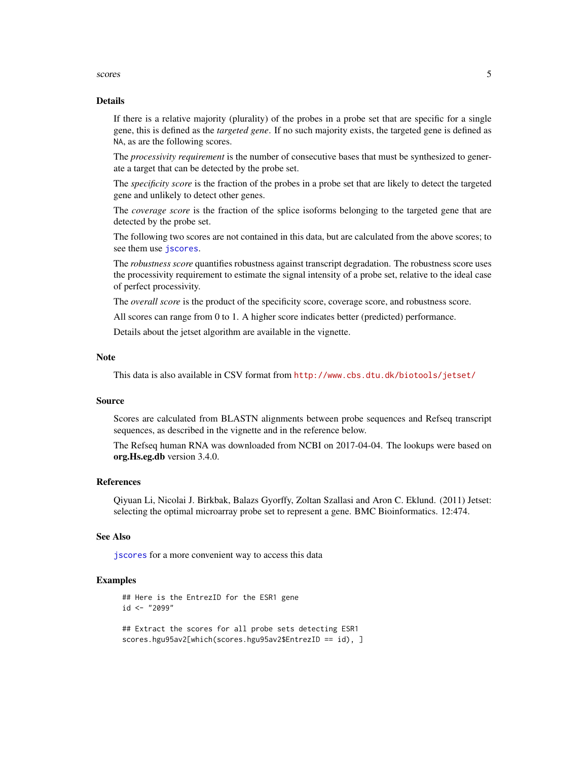#### <span id="page-4-0"></span>scores 5

#### Details

If there is a relative majority (plurality) of the probes in a probe set that are specific for a single gene, this is defined as the *targeted gene*. If no such majority exists, the targeted gene is defined as NA, as are the following scores.

The *processivity requirement* is the number of consecutive bases that must be synthesized to generate a target that can be detected by the probe set.

The *specificity score* is the fraction of the probes in a probe set that are likely to detect the targeted gene and unlikely to detect other genes.

The *coverage score* is the fraction of the splice isoforms belonging to the targeted gene that are detected by the probe set.

The following two scores are not contained in this data, but are calculated from the above scores; to see them use [jscores](#page-2-1).

The *robustness score* quantifies robustness against transcript degradation. The robustness score uses the processivity requirement to estimate the signal intensity of a probe set, relative to the ideal case of perfect processivity.

The *overall score* is the product of the specificity score, coverage score, and robustness score.

All scores can range from 0 to 1. A higher score indicates better (predicted) performance.

Details about the jetset algorithm are available in the vignette.

#### Note

This data is also available in CSV format from <http://www.cbs.dtu.dk/biotools/jetset/>

#### Source

Scores are calculated from BLASTN alignments between probe sequences and Refseq transcript sequences, as described in the vignette and in the reference below.

The Refseq human RNA was downloaded from NCBI on 2017-04-04. The lookups were based on org.Hs.eg.db version 3.4.0.

#### References

Qiyuan Li, Nicolai J. Birkbak, Balazs Gyorffy, Zoltan Szallasi and Aron C. Eklund. (2011) Jetset: selecting the optimal microarray probe set to represent a gene. BMC Bioinformatics. 12:474.

#### See Also

[jscores](#page-2-1) for a more convenient way to access this data

#### Examples

```
## Here is the EntrezID for the ESR1 gene
id <- "2099"
## Extract the scores for all probe sets detecting ESR1
```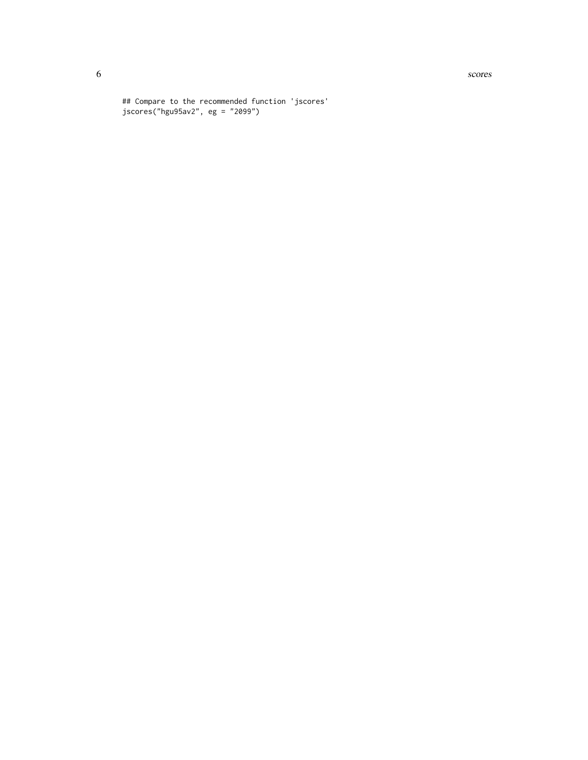**6** scores and the second second second second second second second second second second second second second second second second second second second second second second second second second second second second second

## Compare to the recommended function 'jscores' jscores("hgu95av2", eg = "2099")